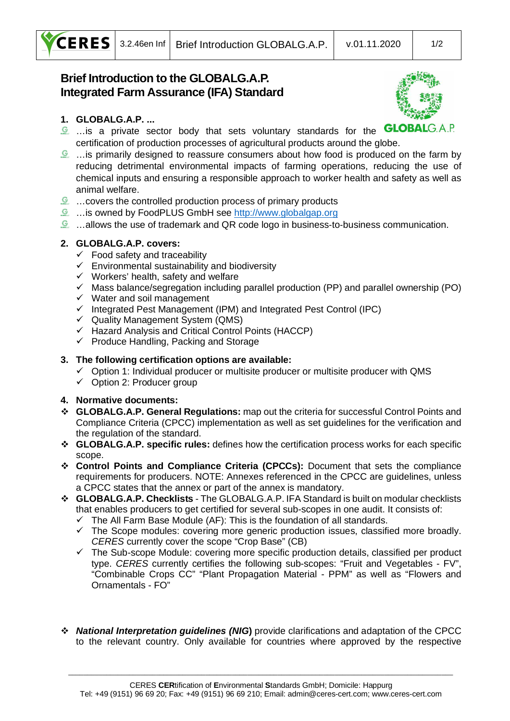

# **Brief Introduction to the GLOBALG.A.P. Integrated Farm Assurance (IFA) Standard**



## **1. GLOBALG.A.P. ...**

- **E** ... is a private sector body that sets voluntary standards for the **GLOBAL**  $G A P$ certification of production processes of agricultural products around the globe.
- $\mathcal{L}$  ... is primarily designed to reassure consumers about how food is produced on the farm by reducing detrimental environmental impacts of farming operations, reducing the use of chemical inputs and ensuring a responsible approach to worker health and safety as well as animal welfare.
- …covers the controlled production process of primary products
- …is owned by FoodPLUS GmbH see http://www.globalgap.org
- $\Omega$  ...allows the use of trademark and QR code logo in business-to-business communication.

#### **2. GLOBALG.A.P. covers:**

- $\checkmark$  Food safety and traceability
- $\checkmark$  Environmental sustainability and biodiversity
- $\checkmark$  Workers' health, safety and welfare
- $\checkmark$  Mass balance/segregation including parallel production (PP) and parallel ownership (PO)
- $\checkmark$  Water and soil management
- $\checkmark$  Integrated Pest Management (IPM) and Integrated Pest Control (IPC)
- $\checkmark$  Quality Management System (QMS)
- $\checkmark$  Hazard Analysis and Critical Control Points (HACCP)
- $\checkmark$  Produce Handling, Packing and Storage

#### **3. The following certification options are available:**

- $\checkmark$  Option 1: Individual producer or multisite producer or multisite producer with QMS
- $\checkmark$  Option 2: Producer group

#### **4. Normative documents:**

- v **GLOBALG.A.P. General Regulations:** map out the criteria for successful Control Points and Compliance Criteria (CPCC) implementation as well as set guidelines for the verification and the regulation of the standard.
- v **GLOBALG.A.P. specific rules:** defines how the certification process works for each specific scope.
- v **Control Points and Compliance Criteria (CPCCs):** Document that sets the compliance requirements for producers. NOTE: Annexes referenced in the CPCC are guidelines, unless a CPCC states that the annex or part of the annex is mandatory.
- v **GLOBALG.A.P. Checklists** The GLOBALG.A.P. IFA Standard is built on modular checklists that enables producers to get certified for several sub-scopes in one audit. It consists of:
	- $\checkmark$  The All Farm Base Module (AF): This is the foundation of all standards.
	- $\checkmark$  The Scope modules: covering more generic production issues, classified more broadly. *CERES* currently cover the scope "Crop Base" (CB)
	- $\checkmark$  The Sub-scope Module: covering more specific production details, classified per product type. *CERES* currently certifies the following sub-scopes: "Fruit and Vegetables - FV", "Combinable Crops CC" "Plant Propagation Material - PPM" as well as "Flowers and Ornamentals - FO"
- v *National Interpretation guidelines (NIG***)** provide clarifications and adaptation of the CPCC to the relevant country. Only available for countries where approved by the respective

\_\_\_\_\_\_\_\_\_\_\_\_\_\_\_\_\_\_\_\_\_\_\_\_\_\_\_\_\_\_\_\_\_\_\_\_\_\_\_\_\_\_\_\_\_\_\_\_\_\_\_\_\_\_\_\_\_\_\_\_\_\_\_\_\_\_\_\_\_\_\_\_\_\_\_\_\_\_\_\_\_\_\_\_\_\_\_\_\_\_\_\_\_\_\_\_\_\_\_\_\_